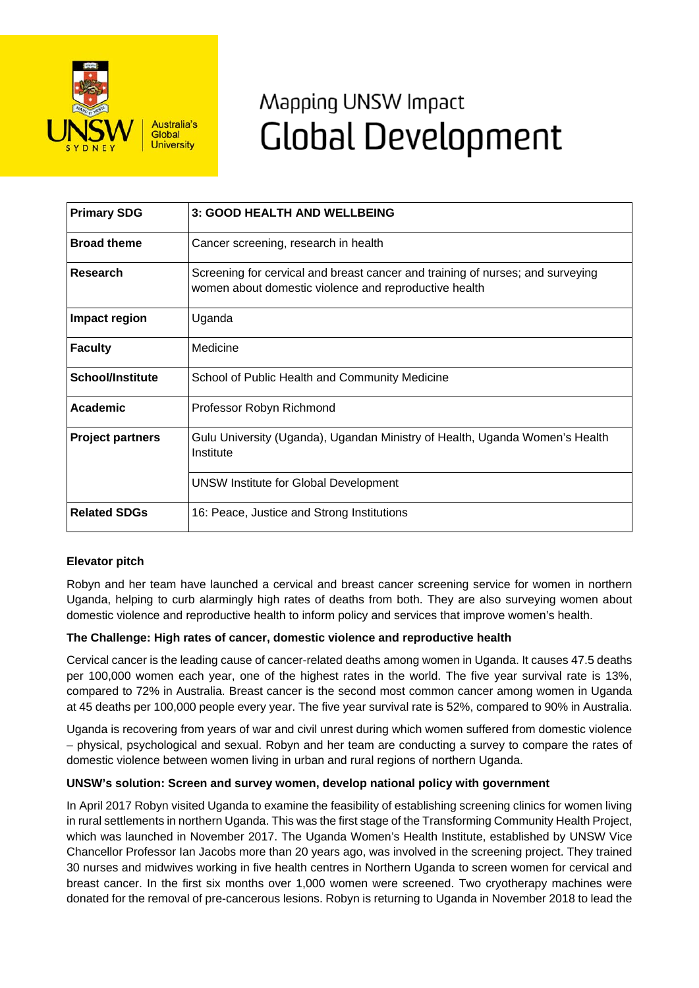

# Mapping UNSW Impact **Global Development**

| <b>Primary SDG</b>      | <b>3: GOOD HEALTH AND WELLBEING</b>                                                                                                     |
|-------------------------|-----------------------------------------------------------------------------------------------------------------------------------------|
| <b>Broad theme</b>      | Cancer screening, research in health                                                                                                    |
| <b>Research</b>         | Screening for cervical and breast cancer and training of nurses; and surveying<br>women about domestic violence and reproductive health |
| Impact region           | Uganda                                                                                                                                  |
| <b>Faculty</b>          | Medicine                                                                                                                                |
| School/Institute        | School of Public Health and Community Medicine                                                                                          |
| Academic                | Professor Robyn Richmond                                                                                                                |
| <b>Project partners</b> | Gulu University (Uganda), Ugandan Ministry of Health, Uganda Women's Health<br>Institute                                                |
|                         | <b>UNSW Institute for Global Development</b>                                                                                            |
| <b>Related SDGs</b>     | 16: Peace, Justice and Strong Institutions                                                                                              |

## **Elevator pitch**

Robyn and her team have launched a cervical and breast cancer screening service for women in northern Uganda, helping to curb alarmingly high rates of deaths from both. They are also surveying women about domestic violence and reproductive health to inform policy and services that improve women's health.

## **The Challenge: High rates of cancer, domestic violence and reproductive health**

Cervical cancer is the leading cause of cancer-related deaths among women in Uganda. It causes 47.5 deaths per 100,000 women each year, one of the highest rates in the world. The five year survival rate is 13%, compared to 72% in Australia. Breast cancer is the second most common cancer among women in Uganda at 45 deaths per 100,000 people every year. The five year survival rate is 52%, compared to 90% in Australia.

Uganda is recovering from years of war and civil unrest during which women suffered from domestic violence – physical, psychological and sexual. Robyn and her team are conducting a survey to compare the rates of domestic violence between women living in urban and rural regions of northern Uganda.

### **UNSW's solution: Screen and survey women, develop national policy with government**

In April 2017 Robyn visited Uganda to examine the feasibility of establishing screening clinics for women living in rural settlements in northern Uganda. This was the first stage of the Transforming Community Health Project, which was launched in November 2017. The Uganda Women's Health Institute, established by UNSW Vice Chancellor Professor Ian Jacobs more than 20 years ago, was involved in the screening project. They trained 30 nurses and midwives working in five health centres in Northern Uganda to screen women for cervical and breast cancer. In the first six months over 1,000 women were screened. Two cryotherapy machines were donated for the removal of pre-cancerous lesions. Robyn is returning to Uganda in November 2018 to lead the